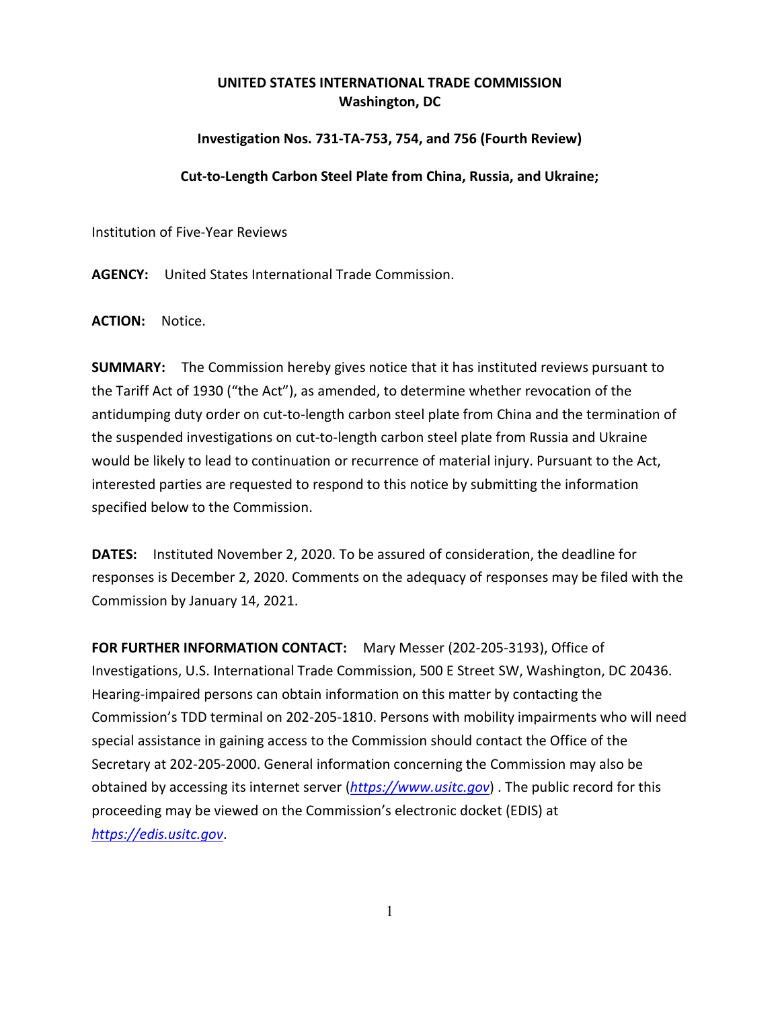## **UNITED STATES INTERNATIONAL TRADE COMMISSION Washington, DC**

## **Investigation Nos. 731-TA-753, 754, and 756 (Fourth Review)**

## **Cut-to-Length Carbon Steel Plate from China, Russia, and Ukraine;**

Institution of Five-Year Reviews

**AGENCY:** United States International Trade Commission.

**ACTION:** Notice.

**SUMMARY:** The Commission hereby gives notice that it has instituted reviews pursuant to the Tariff Act of 1930 ("the Act"), as amended, to determine whether revocation of the antidumping duty order on cut-to-length carbon steel plate from China and the termination of the suspended investigations on cut-to-length carbon steel plate from Russia and Ukraine would be likely to lead to continuation or recurrence of material injury. Pursuant to the Act, interested parties are requested to respond to this notice by submitting the information specified below to the Commission.

**DATES:** Instituted November 2, 2020. To be assured of consideration, the deadline for responses is December 2, 2020. Comments on the adequacy of responses may be filed with the Commission by January 14, 2021.

**FOR FURTHER INFORMATION CONTACT:** Mary Messer (202-205-3193), Office of Investigations, U.S. International Trade Commission, 500 E Street SW, Washington, DC 20436. Hearing-impaired persons can obtain information on this matter by contacting the Commission's TDD terminal on 202-205-1810. Persons with mobility impairments who will need special assistance in gaining access to the Commission should contact the Office of the Secretary at 202-205-2000. General information concerning the Commission may also be obtained by accessing its internet server (*[https://www.usitc.gov](https://www.usitc.gov/)*) . The public record for this proceeding may be viewed on the Commission's electronic docket (EDIS) at *[https://edis.usitc.gov](https://edis.usitc.gov/)*.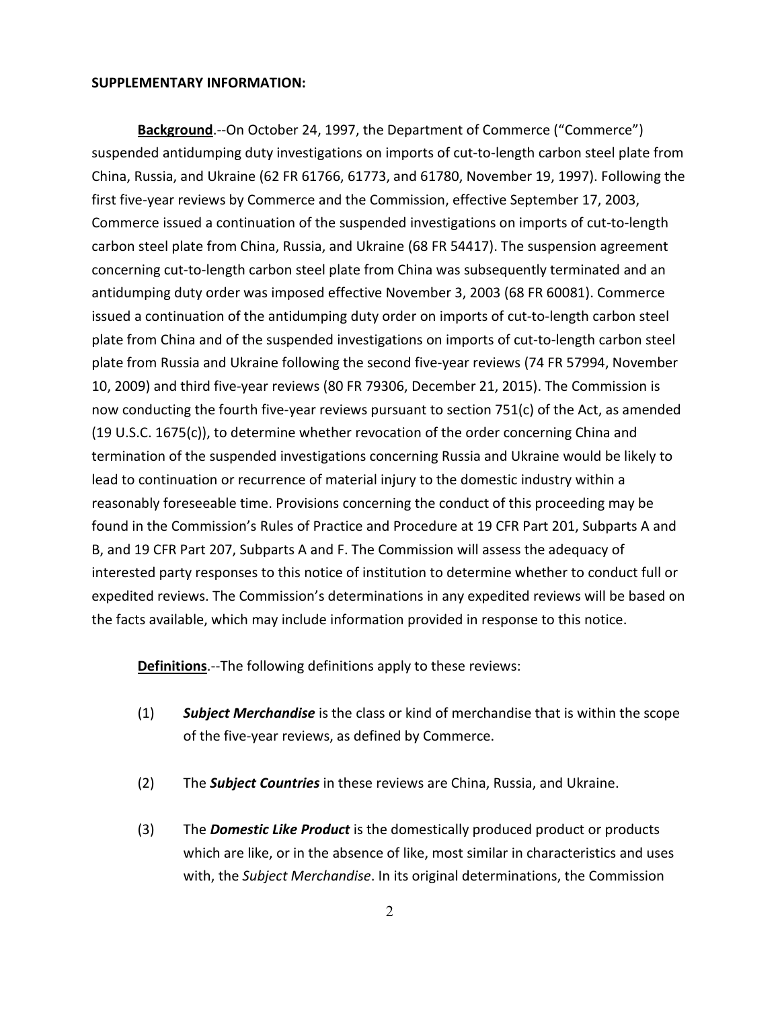## **SUPPLEMENTARY INFORMATION:**

**Background**.--On October 24, 1997, the Department of Commerce ("Commerce") suspended antidumping duty investigations on imports of cut-to-length carbon steel plate from China, Russia, and Ukraine (62 FR 61766, 61773, and 61780, November 19, 1997). Following the first five-year reviews by Commerce and the Commission, effective September 17, 2003, Commerce issued a continuation of the suspended investigations on imports of cut-to-length carbon steel plate from China, Russia, and Ukraine (68 FR 54417). The suspension agreement concerning cut-to-length carbon steel plate from China was subsequently terminated and an antidumping duty order was imposed effective November 3, 2003 (68 FR 60081). Commerce issued a continuation of the antidumping duty order on imports of cut-to-length carbon steel plate from China and of the suspended investigations on imports of cut-to-length carbon steel plate from Russia and Ukraine following the second five-year reviews (74 FR 57994, November 10, 2009) and third five-year reviews (80 FR 79306, December 21, 2015). The Commission is now conducting the fourth five-year reviews pursuant to section 751(c) of the Act, as amended (19 U.S.C. 1675(c)), to determine whether revocation of the order concerning China and termination of the suspended investigations concerning Russia and Ukraine would be likely to lead to continuation or recurrence of material injury to the domestic industry within a reasonably foreseeable time. Provisions concerning the conduct of this proceeding may be found in the Commission's Rules of Practice and Procedure at 19 CFR Part 201, Subparts A and B, and 19 CFR Part 207, Subparts A and F. The Commission will assess the adequacy of interested party responses to this notice of institution to determine whether to conduct full or expedited reviews. The Commission's determinations in any expedited reviews will be based on the facts available, which may include information provided in response to this notice.

**Definitions**.--The following definitions apply to these reviews:

- (1) *Subject Merchandise* is the class or kind of merchandise that is within the scope of the five-year reviews, as defined by Commerce.
- (2) The *Subject Countries* in these reviews are China, Russia, and Ukraine.
- (3) The *Domestic Like Product* is the domestically produced product or products which are like, or in the absence of like, most similar in characteristics and uses with, the *Subject Merchandise*. In its original determinations, the Commission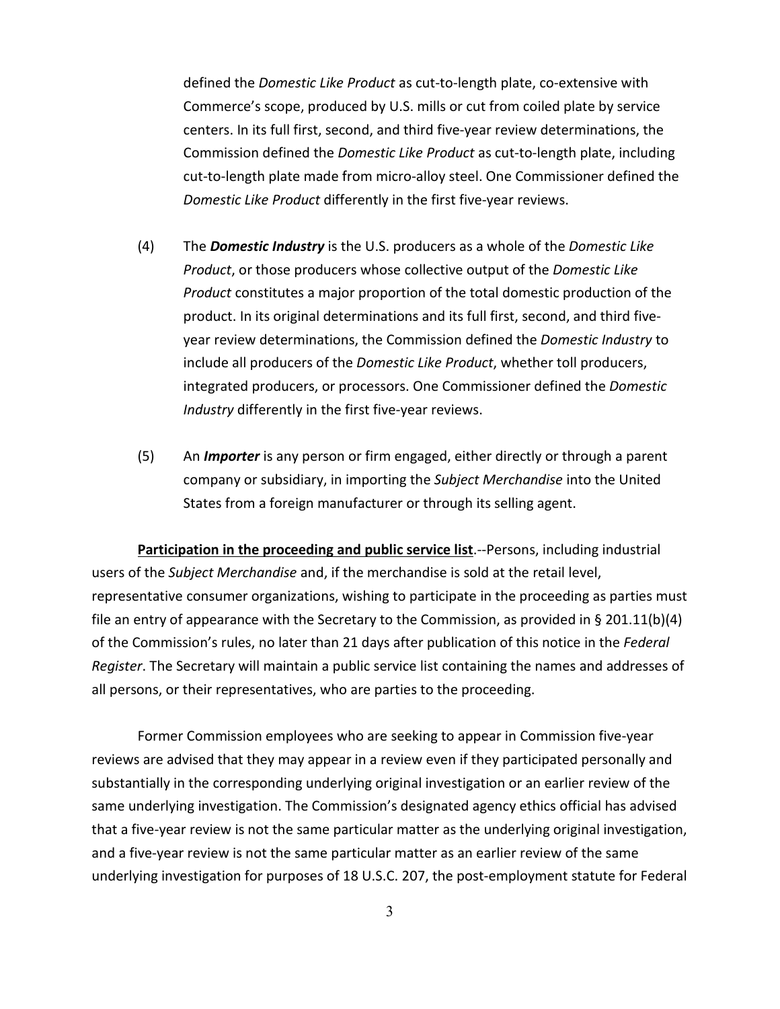defined the *Domestic Like Product* as cut-to-length plate, co-extensive with Commerce's scope, produced by U.S. mills or cut from coiled plate by service centers. In its full first, second, and third five-year review determinations, the Commission defined the *Domestic Like Product* as cut-to-length plate, including cut-to-length plate made from micro-alloy steel. One Commissioner defined the *Domestic Like Product* differently in the first five-year reviews.

- (4) The *Domestic Industry* is the U.S. producers as a whole of the *Domestic Like Product*, or those producers whose collective output of the *Domestic Like Product* constitutes a major proportion of the total domestic production of the product. In its original determinations and its full first, second, and third fiveyear review determinations, the Commission defined the *Domestic Industry* to include all producers of the *Domestic Like Product*, whether toll producers, integrated producers, or processors. One Commissioner defined the *Domestic Industry* differently in the first five-year reviews.
- (5) An *Importer* is any person or firm engaged, either directly or through a parent company or subsidiary, in importing the *Subject Merchandise* into the United States from a foreign manufacturer or through its selling agent.

**Participation in the proceeding and public service list**.--Persons, including industrial users of the *Subject Merchandise* and, if the merchandise is sold at the retail level, representative consumer organizations, wishing to participate in the proceeding as parties must file an entry of appearance with the Secretary to the Commission, as provided in § 201.11(b)(4) of the Commission's rules, no later than 21 days after publication of this notice in the *Federal Register*. The Secretary will maintain a public service list containing the names and addresses of all persons, or their representatives, who are parties to the proceeding.

Former Commission employees who are seeking to appear in Commission five-year reviews are advised that they may appear in a review even if they participated personally and substantially in the corresponding underlying original investigation or an earlier review of the same underlying investigation. The Commission's designated agency ethics official has advised that a five-year review is not the same particular matter as the underlying original investigation, and a five-year review is not the same particular matter as an earlier review of the same underlying investigation for purposes of 18 U.S.C. 207, the post-employment statute for Federal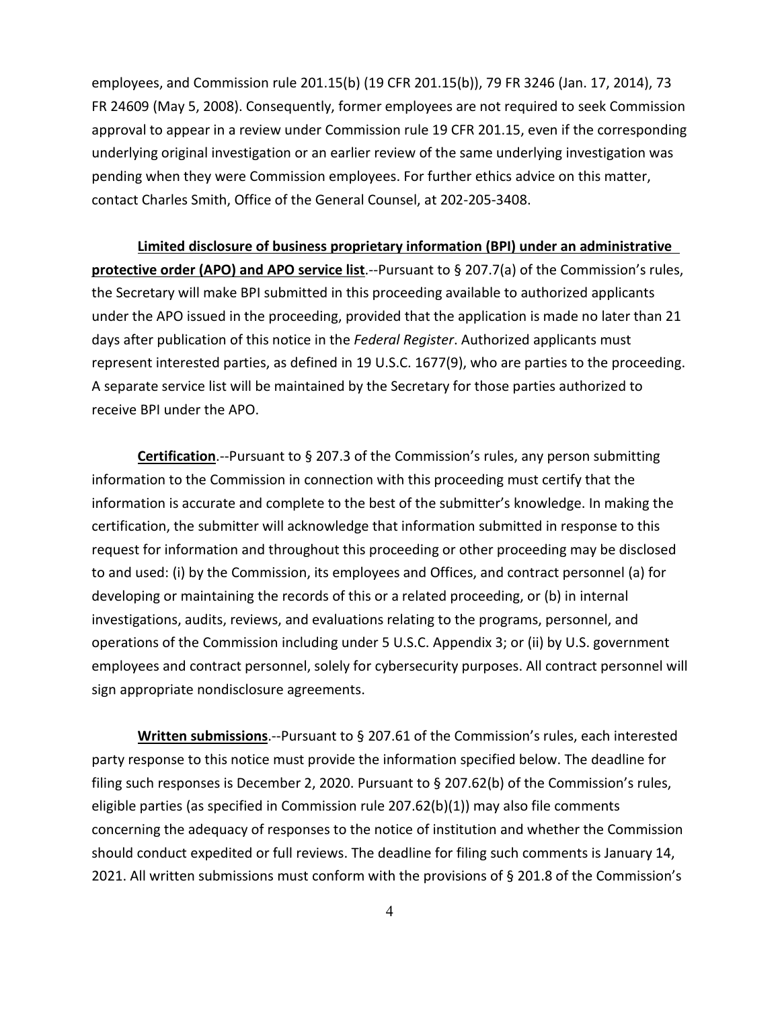employees, and Commission rule 201.15(b) (19 CFR 201.15(b)), 79 FR 3246 (Jan. 17, 2014), 73 FR 24609 (May 5, 2008). Consequently, former employees are not required to seek Commission approval to appear in a review under Commission rule 19 CFR 201.15, even if the corresponding underlying original investigation or an earlier review of the same underlying investigation was pending when they were Commission employees. For further ethics advice on this matter, contact Charles Smith, Office of the General Counsel, at 202-205-3408.

**Limited disclosure of business proprietary information (BPI) under an administrative protective order (APO) and APO service list**.--Pursuant to § 207.7(a) of the Commission's rules, the Secretary will make BPI submitted in this proceeding available to authorized applicants under the APO issued in the proceeding, provided that the application is made no later than 21 days after publication of this notice in the *Federal Register*. Authorized applicants must represent interested parties, as defined in 19 U.S.C. 1677(9), who are parties to the proceeding. A separate service list will be maintained by the Secretary for those parties authorized to receive BPI under the APO.

**Certification**.--Pursuant to § 207.3 of the Commission's rules, any person submitting information to the Commission in connection with this proceeding must certify that the information is accurate and complete to the best of the submitter's knowledge. In making the certification, the submitter will acknowledge that information submitted in response to this request for information and throughout this proceeding or other proceeding may be disclosed to and used: (i) by the Commission, its employees and Offices, and contract personnel (a) for developing or maintaining the records of this or a related proceeding, or (b) in internal investigations, audits, reviews, and evaluations relating to the programs, personnel, and operations of the Commission including under 5 U.S.C. Appendix 3; or (ii) by U.S. government employees and contract personnel, solely for cybersecurity purposes. All contract personnel will sign appropriate nondisclosure agreements.

**Written submissions**.--Pursuant to § 207.61 of the Commission's rules, each interested party response to this notice must provide the information specified below. The deadline for filing such responses is December 2, 2020. Pursuant to § 207.62(b) of the Commission's rules, eligible parties (as specified in Commission rule 207.62(b)(1)) may also file comments concerning the adequacy of responses to the notice of institution and whether the Commission should conduct expedited or full reviews. The deadline for filing such comments is January 14, 2021. All written submissions must conform with the provisions of § 201.8 of the Commission's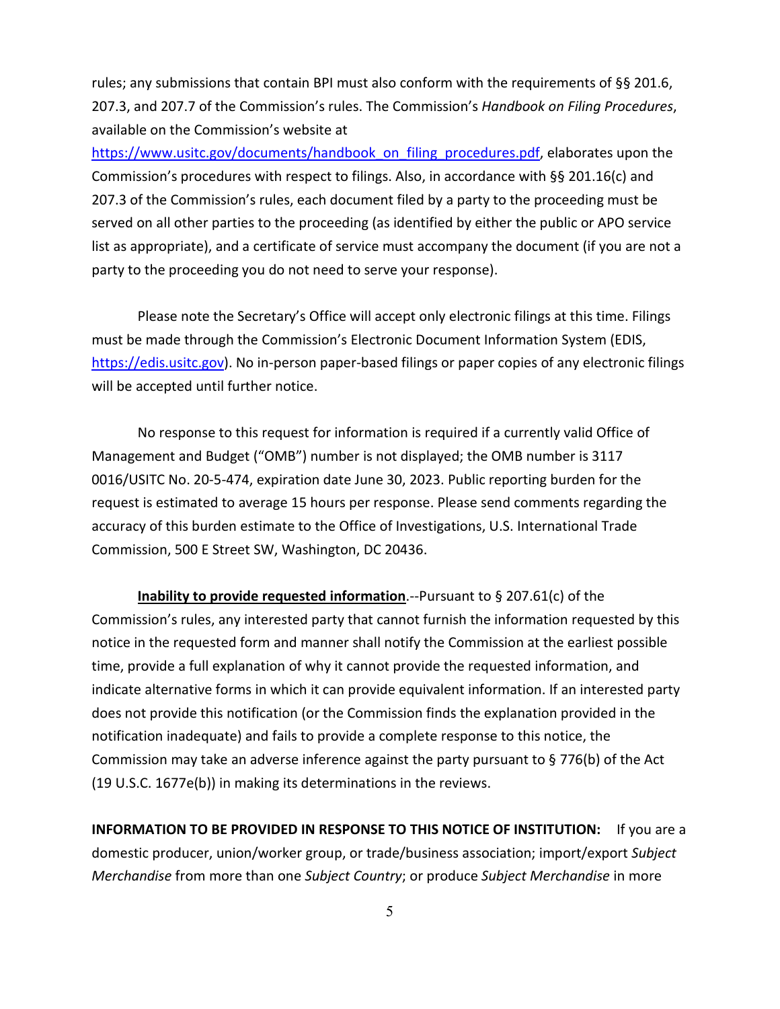rules; any submissions that contain BPI must also conform with the requirements of §§ 201.6, 207.3, and 207.7 of the Commission's rules. The Commission's *Handbook on Filing Procedures*, available on the Commission's website at

[https://www.usitc.gov/documents/handbook\\_on\\_filing\\_procedures.pdf,](https://www.usitc.gov/documents/handbook_on_filing_procedures.pdf) elaborates upon the Commission's procedures with respect to filings. Also, in accordance with §§ 201.16(c) and 207.3 of the Commission's rules, each document filed by a party to the proceeding must be served on all other parties to the proceeding (as identified by either the public or APO service list as appropriate), and a certificate of service must accompany the document (if you are not a party to the proceeding you do not need to serve your response).

Please note the Secretary's Office will accept only electronic filings at this time. Filings must be made through the Commission's Electronic Document Information System (EDIS, [https://edis.usitc.gov\)](https://edis.usitc.gov/). No in-person paper-based filings or paper copies of any electronic filings will be accepted until further notice.

No response to this request for information is required if a currently valid Office of Management and Budget ("OMB") number is not displayed; the OMB number is 3117 0016/USITC No. 20-5-474, expiration date June 30, 2023. Public reporting burden for the request is estimated to average 15 hours per response. Please send comments regarding the accuracy of this burden estimate to the Office of Investigations, U.S. International Trade Commission, 500 E Street SW, Washington, DC 20436.

**Inability to provide requested information**.--Pursuant to § 207.61(c) of the Commission's rules, any interested party that cannot furnish the information requested by this notice in the requested form and manner shall notify the Commission at the earliest possible time, provide a full explanation of why it cannot provide the requested information, and indicate alternative forms in which it can provide equivalent information. If an interested party does not provide this notification (or the Commission finds the explanation provided in the notification inadequate) and fails to provide a complete response to this notice, the Commission may take an adverse inference against the party pursuant to § 776(b) of the Act (19 U.S.C. 1677e(b)) in making its determinations in the reviews.

**INFORMATION TO BE PROVIDED IN RESPONSE TO THIS NOTICE OF INSTITUTION:** If you are a domestic producer, union/worker group, or trade/business association; import/export *Subject Merchandise* from more than one *Subject Country*; or produce *Subject Merchandise* in more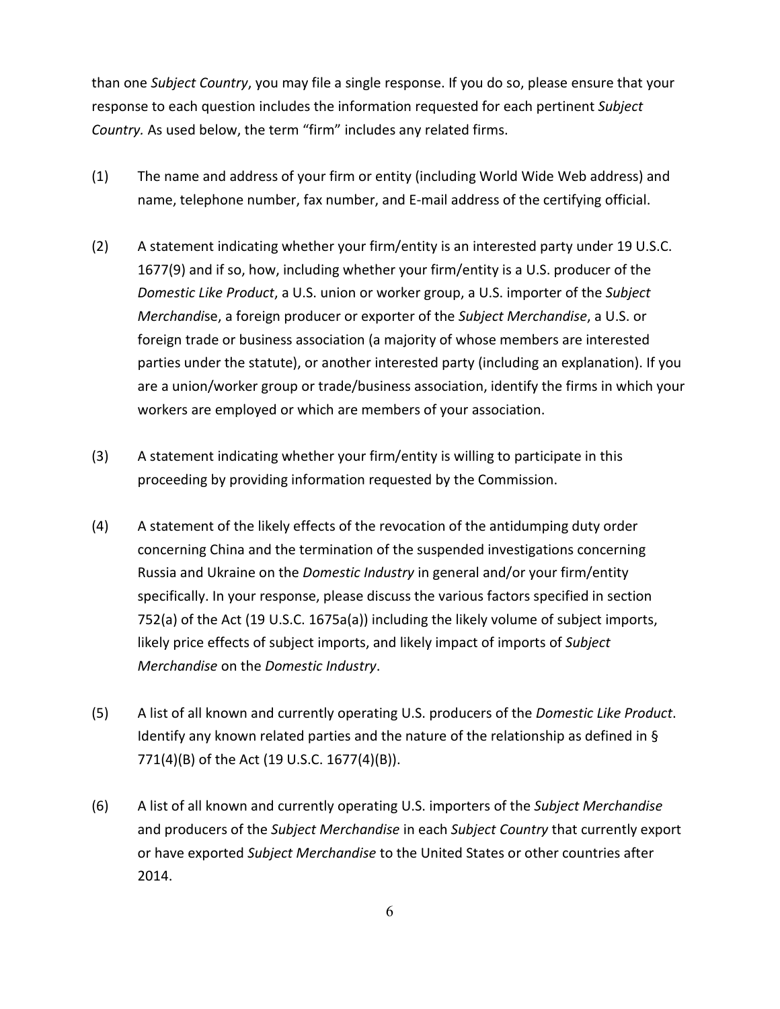than one *Subject Country*, you may file a single response. If you do so, please ensure that your response to each question includes the information requested for each pertinent *Subject Country.* As used below, the term "firm" includes any related firms.

- (1) The name and address of your firm or entity (including World Wide Web address) and name, telephone number, fax number, and E-mail address of the certifying official.
- (2) A statement indicating whether your firm/entity is an interested party under 19 U.S.C. 1677(9) and if so, how, including whether your firm/entity is a U.S. producer of the *Domestic Like Product*, a U.S. union or worker group, a U.S. importer of the *Subject Merchandi*se, a foreign producer or exporter of the *Subject Merchandise*, a U.S. or foreign trade or business association (a majority of whose members are interested parties under the statute), or another interested party (including an explanation). If you are a union/worker group or trade/business association, identify the firms in which your workers are employed or which are members of your association.
- (3) A statement indicating whether your firm/entity is willing to participate in this proceeding by providing information requested by the Commission.
- (4) A statement of the likely effects of the revocation of the antidumping duty order concerning China and the termination of the suspended investigations concerning Russia and Ukraine on the *Domestic Industry* in general and/or your firm/entity specifically. In your response, please discuss the various factors specified in section 752(a) of the Act (19 U.S.C. 1675a(a)) including the likely volume of subject imports, likely price effects of subject imports, and likely impact of imports of *Subject Merchandise* on the *Domestic Industry*.
- (5) A list of all known and currently operating U.S. producers of the *Domestic Like Product*. Identify any known related parties and the nature of the relationship as defined in  $\S$ 771(4)(B) of the Act (19 U.S.C. 1677(4)(B)).
- (6) A list of all known and currently operating U.S. importers of the *Subject Merchandise* and producers of the *Subject Merchandise* in each *Subject Country* that currently export or have exported *Subject Merchandise* to the United States or other countries after 2014.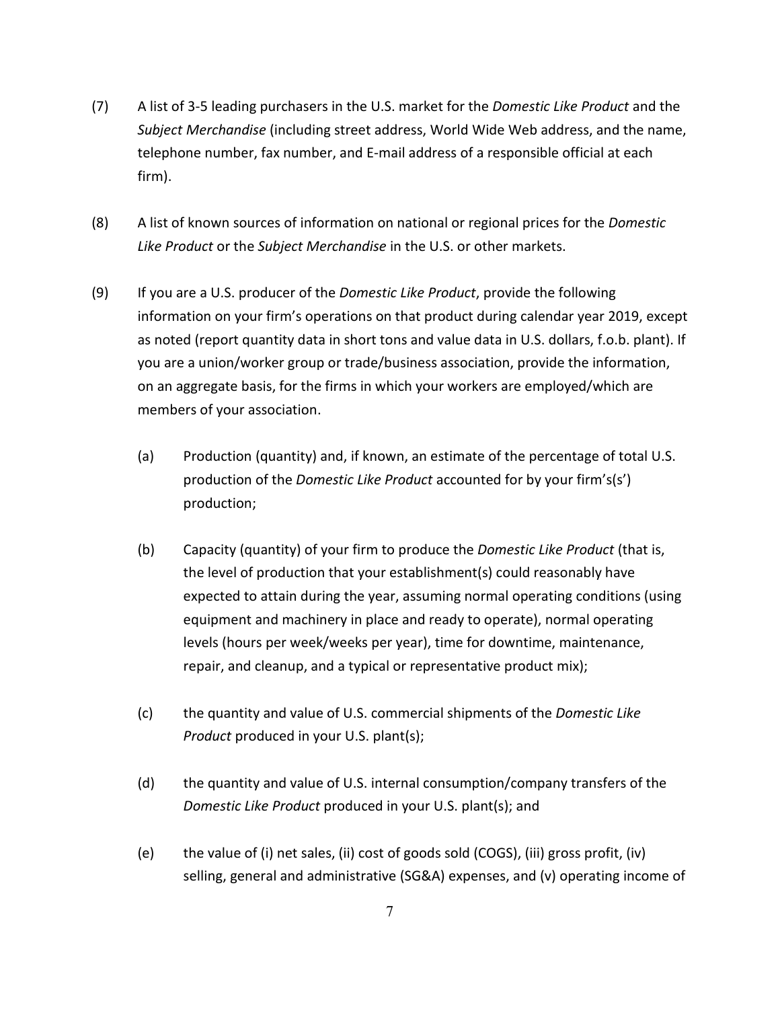- (7) A list of 3-5 leading purchasers in the U.S. market for the *Domestic Like Product* and the *Subject Merchandise* (including street address, World Wide Web address, and the name, telephone number, fax number, and E-mail address of a responsible official at each firm).
- (8) A list of known sources of information on national or regional prices for the *Domestic Like Product* or the *Subject Merchandise* in the U.S. or other markets.
- (9) If you are a U.S. producer of the *Domestic Like Product*, provide the following information on your firm's operations on that product during calendar year 2019, except as noted (report quantity data in short tons and value data in U.S. dollars, f.o.b. plant). If you are a union/worker group or trade/business association, provide the information, on an aggregate basis, for the firms in which your workers are employed/which are members of your association.
	- (a) Production (quantity) and, if known, an estimate of the percentage of total U.S. production of the *Domestic Like Product* accounted for by your firm's(s') production;
	- (b) Capacity (quantity) of your firm to produce the *Domestic Like Product* (that is, the level of production that your establishment(s) could reasonably have expected to attain during the year, assuming normal operating conditions (using equipment and machinery in place and ready to operate), normal operating levels (hours per week/weeks per year), time for downtime, maintenance, repair, and cleanup, and a typical or representative product mix);
	- (c) the quantity and value of U.S. commercial shipments of the *Domestic Like Product* produced in your U.S. plant(s);
	- (d) the quantity and value of U.S. internal consumption/company transfers of the *Domestic Like Product* produced in your U.S. plant(s); and
	- (e) the value of (i) net sales, (ii) cost of goods sold (COGS), (iii) gross profit, (iv) selling, general and administrative (SG&A) expenses, and (v) operating income of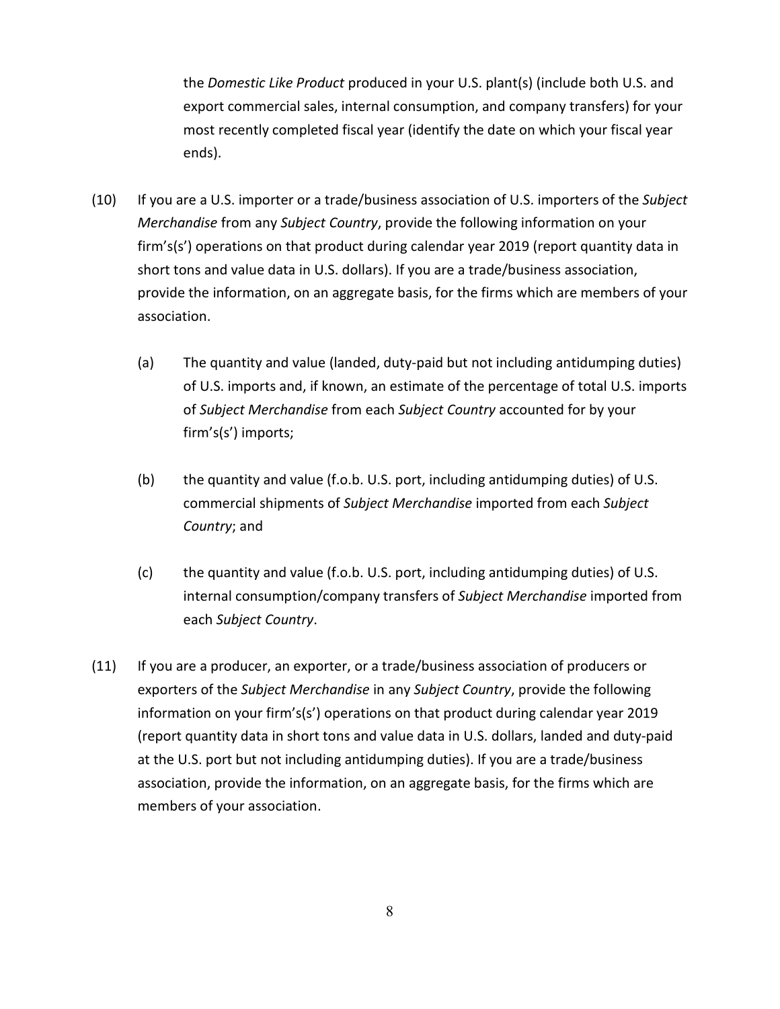the *Domestic Like Product* produced in your U.S. plant(s) (include both U.S. and export commercial sales, internal consumption, and company transfers) for your most recently completed fiscal year (identify the date on which your fiscal year ends).

- (10) If you are a U.S. importer or a trade/business association of U.S. importers of the *Subject Merchandise* from any *Subject Country*, provide the following information on your firm's(s') operations on that product during calendar year 2019 (report quantity data in short tons and value data in U.S. dollars). If you are a trade/business association, provide the information, on an aggregate basis, for the firms which are members of your association.
	- (a) The quantity and value (landed, duty-paid but not including antidumping duties) of U.S. imports and, if known, an estimate of the percentage of total U.S. imports of *Subject Merchandise* from each *Subject Country* accounted for by your firm's(s') imports;
	- (b) the quantity and value (f.o.b. U.S. port, including antidumping duties) of U.S. commercial shipments of *Subject Merchandise* imported from each *Subject Country*; and
	- (c) the quantity and value (f.o.b. U.S. port, including antidumping duties) of U.S. internal consumption/company transfers of *Subject Merchandise* imported from each *Subject Country*.
- (11) If you are a producer, an exporter, or a trade/business association of producers or exporters of the *Subject Merchandise* in any *Subject Country*, provide the following information on your firm's(s') operations on that product during calendar year 2019 (report quantity data in short tons and value data in U.S. dollars, landed and duty-paid at the U.S. port but not including antidumping duties). If you are a trade/business association, provide the information, on an aggregate basis, for the firms which are members of your association.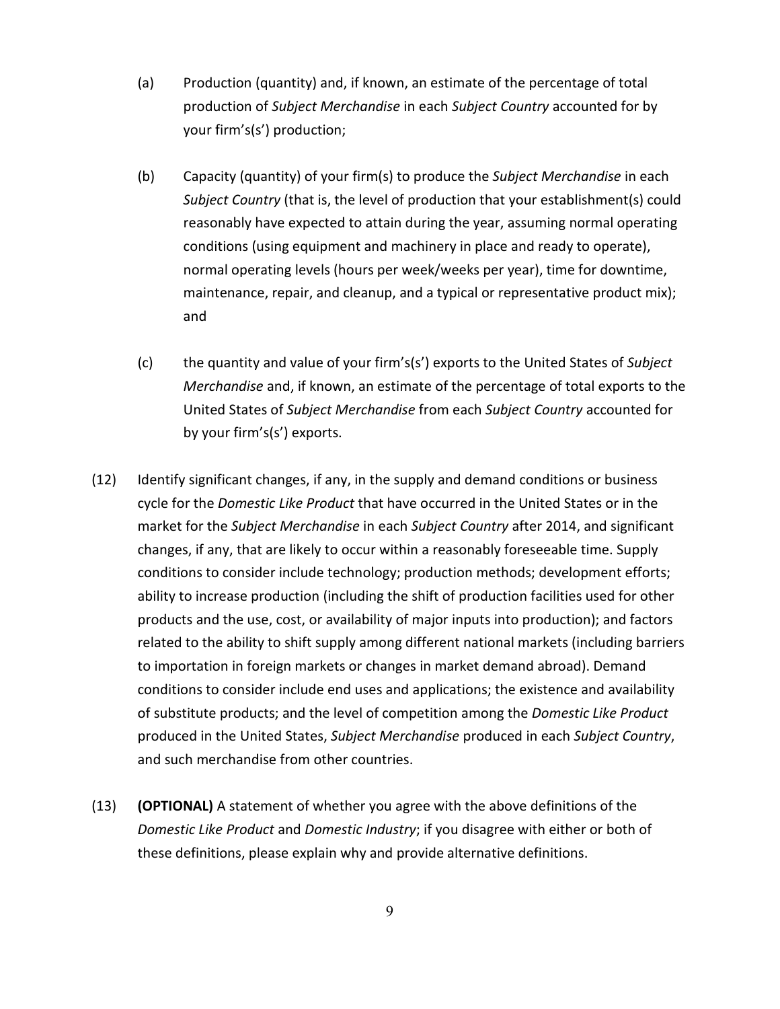- (a) Production (quantity) and, if known, an estimate of the percentage of total production of *Subject Merchandise* in each *Subject Country* accounted for by your firm's(s') production;
- (b) Capacity (quantity) of your firm(s) to produce the *Subject Merchandise* in each *Subject Country* (that is, the level of production that your establishment(s) could reasonably have expected to attain during the year, assuming normal operating conditions (using equipment and machinery in place and ready to operate), normal operating levels (hours per week/weeks per year), time for downtime, maintenance, repair, and cleanup, and a typical or representative product mix); and
- (c) the quantity and value of your firm's(s') exports to the United States of *Subject Merchandise* and, if known, an estimate of the percentage of total exports to the United States of *Subject Merchandise* from each *Subject Country* accounted for by your firm's(s') exports.
- (12) Identify significant changes, if any, in the supply and demand conditions or business cycle for the *Domestic Like Product* that have occurred in the United States or in the market for the *Subject Merchandise* in each *Subject Country* after 2014, and significant changes, if any, that are likely to occur within a reasonably foreseeable time. Supply conditions to consider include technology; production methods; development efforts; ability to increase production (including the shift of production facilities used for other products and the use, cost, or availability of major inputs into production); and factors related to the ability to shift supply among different national markets (including barriers to importation in foreign markets or changes in market demand abroad). Demand conditions to consider include end uses and applications; the existence and availability of substitute products; and the level of competition among the *Domestic Like Product* produced in the United States, *Subject Merchandise* produced in each *Subject Country*, and such merchandise from other countries.
- (13) **(OPTIONAL)** A statement of whether you agree with the above definitions of the *Domestic Like Product* and *Domestic Industry*; if you disagree with either or both of these definitions, please explain why and provide alternative definitions.